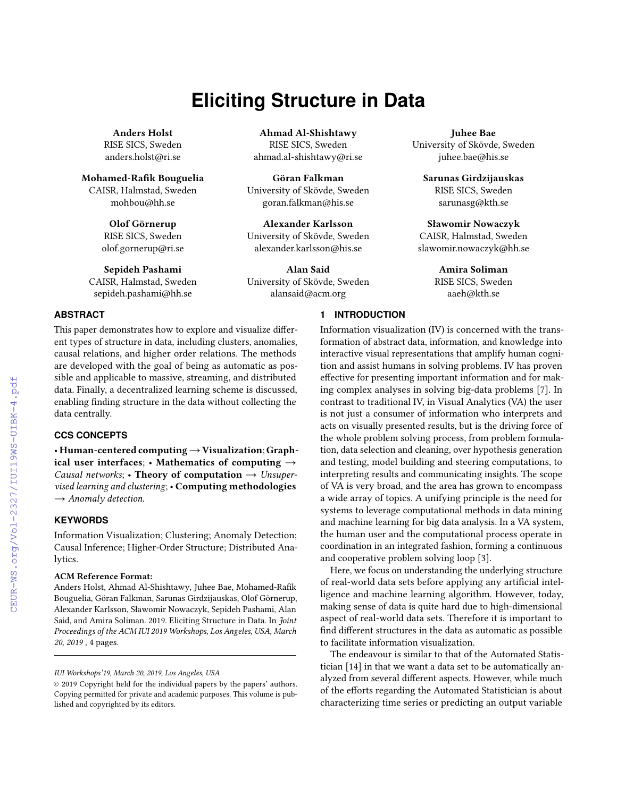# **Eliciting Structure in Data**

Anders Holst RISE SICS, Sweden anders.holst@ri.se

Mohamed-Rafik Bouguelia CAISR, Halmstad, Sweden mohbou@hh.se

> Olof Görnerup RISE SICS, Sweden olof.gornerup@ri.se

Sepideh Pashami CAISR, Halmstad, Sweden sepideh.pashami@hh.se

Ahmad Al-Shishtawy RISE SICS, Sweden ahmad.al-shishtawy@ri.se

Göran Falkman University of Skövde, Sweden goran.falkman@his.se

Alexander Karlsson University of Skövde, Sweden alexander.karlsson@his.se

Alan Said University of Skövde, Sweden alansaid@acm.org

Juhee Bae University of Skövde, Sweden juhee.bae@his.se

Sarunas Girdzijauskas RISE SICS, Sweden sarunasg@kth.se

Sławomir Nowaczyk CAISR, Halmstad, Sweden slawomir.nowaczyk@hh.se

> Amira Soliman RISE SICS, Sweden aaeh@kth.se

# **ABSTRACT**

This paper demonstrates how to explore and visualize different types of structure in data, including clusters, anomalies, causal relations, and higher order relations. The methods are developed with the goal of being as automatic as possible and applicable to massive, streaming, and distributed data. Finally, a decentralized learning scheme is discussed, enabling finding structure in the data without collecting the data centrally.

## **CCS CONCEPTS**

• Human-centered computing→Visualization; Graphical user interfaces; • Mathematics of computing  $\rightarrow$ Causal networks; • Theory of computation  $\rightarrow$  Unsupervised learning and clustering; • Computing methodologies  $\rightarrow$  Anomaly detection.

# **KEYWORDS**

Information Visualization; Clustering; Anomaly Detection; Causal Inference; Higher-Order Structure; Distributed Analytics.

#### ACM Reference Format:

Anders Holst, Ahmad Al-Shishtawy, Juhee Bae, Mohamed-Rafik Bouguelia, Göran Falkman, Sarunas Girdzijauskas, Olof Görnerup, Alexander Karlsson, Sławomir Nowaczyk, Sepideh Pashami, Alan Said, and Amira Soliman. 2019. Eliciting Structure in Data. In Joint Proceedings of the ACM IUI 2019 Workshops, Los Angeles, USA, March 20, 2019 , [4](#page--1-0) pages.

# **1 INTRODUCTION**

Information visualization (IV) is concerned with the transformation of abstract data, information, and knowledge into interactive visual representations that amplify human cognition and assist humans in solving problems. IV has proven effective for presenting important information and for making complex analyses in solving big-data problems [\[7\]](#page--1-1). In contrast to traditional IV, in Visual Analytics (VA) the user is not just a consumer of information who interprets and acts on visually presented results, but is the driving force of the whole problem solving process, from problem formulation, data selection and cleaning, over hypothesis generation and testing, model building and steering computations, to interpreting results and communicating insights. The scope of VA is very broad, and the area has grown to encompass a wide array of topics. A unifying principle is the need for systems to leverage computational methods in data mining and machine learning for big data analysis. In a VA system, the human user and the computational process operate in coordination in an integrated fashion, forming a continuous and cooperative problem solving loop [\[3\]](#page--1-2).

Here, we focus on understanding the underlying structure of real-world data sets before applying any artificial intelligence and machine learning algorithm. However, today, making sense of data is quite hard due to high-dimensional aspect of real-world data sets. Therefore it is important to find different structures in the data as automatic as possible to facilitate information visualization.

The endeavour is similar to that of the Automated Statistician [\[14\]](#page--1-3) in that we want a data set to be automatically analyzed from several different aspects. However, while much of the efforts regarding the Automated Statistician is about characterizing time series or predicting an output variable

IUI Workshops'19, March 20, 2019, Los Angeles, USA

<sup>©</sup> 2019 Copyright held for the individual papers by the papers' authors. Copying permitted for private and academic purposes. This volume is published and copyrighted by its editors.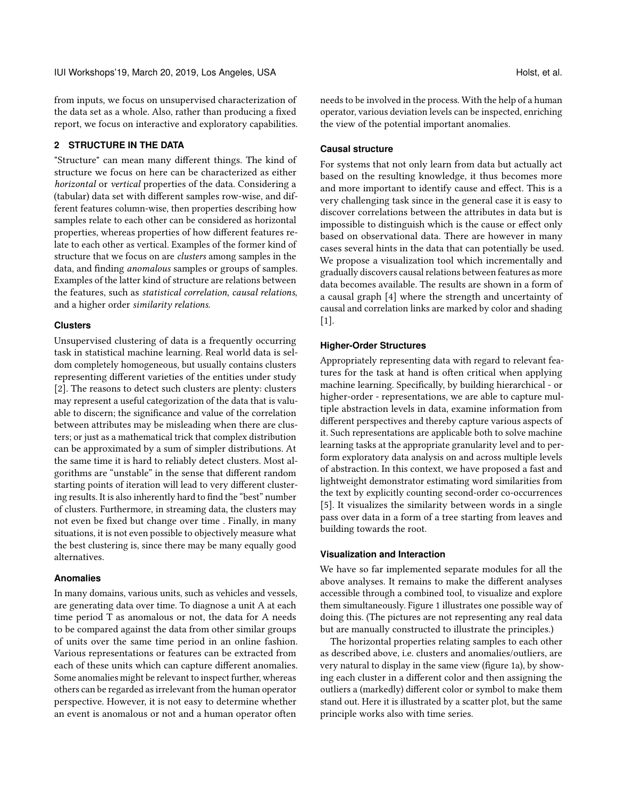from inputs, we focus on unsupervised characterization of the data set as a whole. Also, rather than producing a fixed report, we focus on interactive and exploratory capabilities.

### **2 STRUCTURE IN THE DATA**

"Structure" can mean many different things. The kind of structure we focus on here can be characterized as either horizontal or vertical properties of the data. Considering a (tabular) data set with different samples row-wise, and different features column-wise, then properties describing how samples relate to each other can be considered as horizontal properties, whereas properties of how different features relate to each other as vertical. Examples of the former kind of structure that we focus on are clusters among samples in the data, and finding anomalous samples or groups of samples. Examples of the latter kind of structure are relations between the features, such as statistical correlation, causal relations, and a higher order similarity relations.

#### **Clusters**

Unsupervised clustering of data is a frequently occurring task in statistical machine learning. Real world data is seldom completely homogeneous, but usually contains clusters representing different varieties of the entities under study [\[2\]](#page-3-0). The reasons to detect such clusters are plenty: clusters may represent a useful categorization of the data that is valuable to discern; the significance and value of the correlation between attributes may be misleading when there are clusters; or just as a mathematical trick that complex distribution can be approximated by a sum of simpler distributions. At the same time it is hard to reliably detect clusters. Most algorithms are "unstable" in the sense that different random starting points of iteration will lead to very different clustering results. It is also inherently hard to find the "best" number of clusters. Furthermore, in streaming data, the clusters may not even be fixed but change over time . Finally, in many situations, it is not even possible to objectively measure what the best clustering is, since there may be many equally good alternatives.

#### **Anomalies**

In many domains, various units, such as vehicles and vessels, are generating data over time. To diagnose a unit A at each time period T as anomalous or not, the data for A needs to be compared against the data from other similar groups of units over the same time period in an online fashion. Various representations or features can be extracted from each of these units which can capture different anomalies. Some anomalies might be relevant to inspect further, whereas others can be regarded as irrelevant from the human operator perspective. However, it is not easy to determine whether an event is anomalous or not and a human operator often

needs to be involved in the process. With the help of a human operator, various deviation levels can be inspected, enriching the view of the potential important anomalies.

#### **Causal structure**

For systems that not only learn from data but actually act based on the resulting knowledge, it thus becomes more and more important to identify cause and effect. This is a very challenging task since in the general case it is easy to discover correlations between the attributes in data but is impossible to distinguish which is the cause or effect only based on observational data. There are however in many cases several hints in the data that can potentially be used. We propose a visualization tool which incrementally and gradually discovers causal relations between features as more data becomes available. The results are shown in a form of a causal graph [\[4\]](#page-3-1) where the strength and uncertainty of causal and correlation links are marked by color and shading [\[1\]](#page-3-2).

#### **Higher-Order Structures**

Appropriately representing data with regard to relevant features for the task at hand is often critical when applying machine learning. Specifically, by building hierarchical - or higher-order - representations, we are able to capture multiple abstraction levels in data, examine information from different perspectives and thereby capture various aspects of it. Such representations are applicable both to solve machine learning tasks at the appropriate granularity level and to perform exploratory data analysis on and across multiple levels of abstraction. In this context, we have proposed a fast and lightweight demonstrator estimating word similarities from the text by explicitly counting second-order co-occurrences [\[5\]](#page-3-3). It visualizes the similarity between words in a single pass over data in a form of a tree starting from leaves and building towards the root.

#### **Visualization and Interaction**

We have so far implemented separate modules for all the above analyses. It remains to make the different analyses accessible through a combined tool, to visualize and explore them simultaneously. Figure [1](#page-2-0) illustrates one possible way of doing this. (The pictures are not representing any real data but are manually constructed to illustrate the principles.)

The horizontal properties relating samples to each other as described above, i.e. clusters and anomalies/outliers, are very natural to display in the same view (figure [1a](#page-2-0)), by showing each cluster in a different color and then assigning the outliers a (markedly) different color or symbol to make them stand out. Here it is illustrated by a scatter plot, but the same principle works also with time series.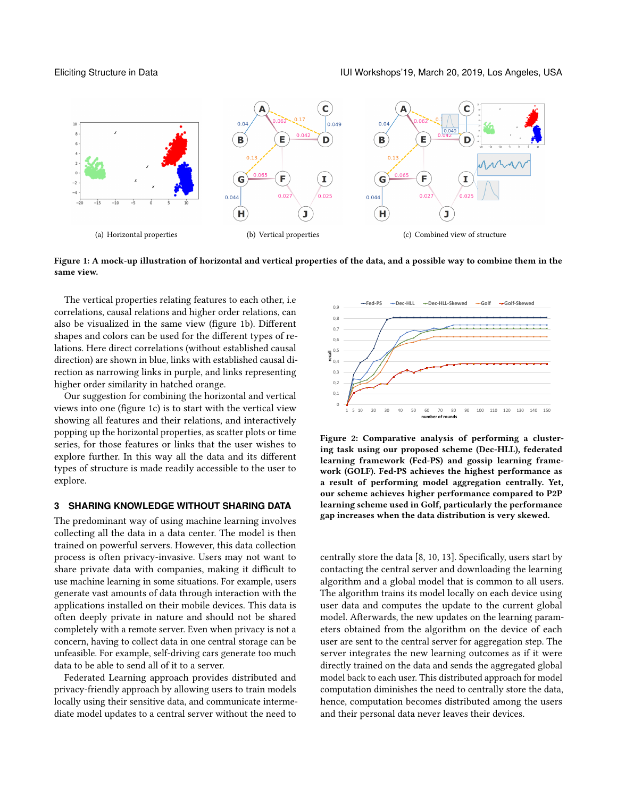Eliciting Structure in Data IUI Workshops'19, March 20, 2019, Los Angeles, USA

<span id="page-2-0"></span>

Figure 1: A mock-up illustration of horizontal and vertical properties of the data, and a possible way to combine them in the same view.

The vertical properties relating features to each other, i.e correlations, causal relations and higher order relations, can also be visualized in the same view (figure [1b](#page-2-0)). Different shapes and colors can be used for the different types of relations. Here direct correlations (without established causal direction) are shown in blue, links with established causal direction as narrowing links in purple, and links representing higher order similarity in hatched orange.

Our suggestion for combining the horizontal and vertical views into one (figure [1c](#page-2-0)) is to start with the vertical view showing all features and their relations, and interactively popping up the horizontal properties, as scatter plots or time series, for those features or links that the user wishes to explore further. In this way all the data and its different types of structure is made readily accessible to the user to explore.

# **3 SHARING KNOWLEDGE WITHOUT SHARING DATA**

The predominant way of using machine learning involves collecting all the data in a data center. The model is then trained on powerful servers. However, this data collection process is often privacy-invasive. Users may not want to share private data with companies, making it difficult to use machine learning in some situations. For example, users generate vast amounts of data through interaction with the applications installed on their mobile devices. This data is often deeply private in nature and should not be shared completely with a remote server. Even when privacy is not a concern, having to collect data in one central storage can be unfeasible. For example, self-driving cars generate too much data to be able to send all of it to a server.

Federated Learning approach provides distributed and privacy-friendly approach by allowing users to train models locally using their sensitive data, and communicate intermediate model updates to a central server without the need to

<span id="page-2-1"></span>

Figure 2: Comparative analysis of performing a clustering task using our proposed scheme (Dec-HLL), federated learning framework (Fed-PS) and gossip learning framework (GOLF). Fed-PS achieves the highest performance as a result of performing model aggregation centrally. Yet, our scheme achieves higher performance compared to P2P learning scheme used in Golf, particularly the performance gap increases when the data distribution is very skewed.

centrally store the data [\[8,](#page-3-4) [10,](#page-3-5) [13\]](#page-3-6). Specifically, users start by contacting the central server and downloading the learning algorithm and a global model that is common to all users. The algorithm trains its model locally on each device using user data and computes the update to the current global model. Afterwards, the new updates on the learning parameters obtained from the algorithm on the device of each user are sent to the central server for aggregation step. The server integrates the new learning outcomes as if it were directly trained on the data and sends the aggregated global model back to each user. This distributed approach for model computation diminishes the need to centrally store the data, hence, computation becomes distributed among the users and their personal data never leaves their devices.